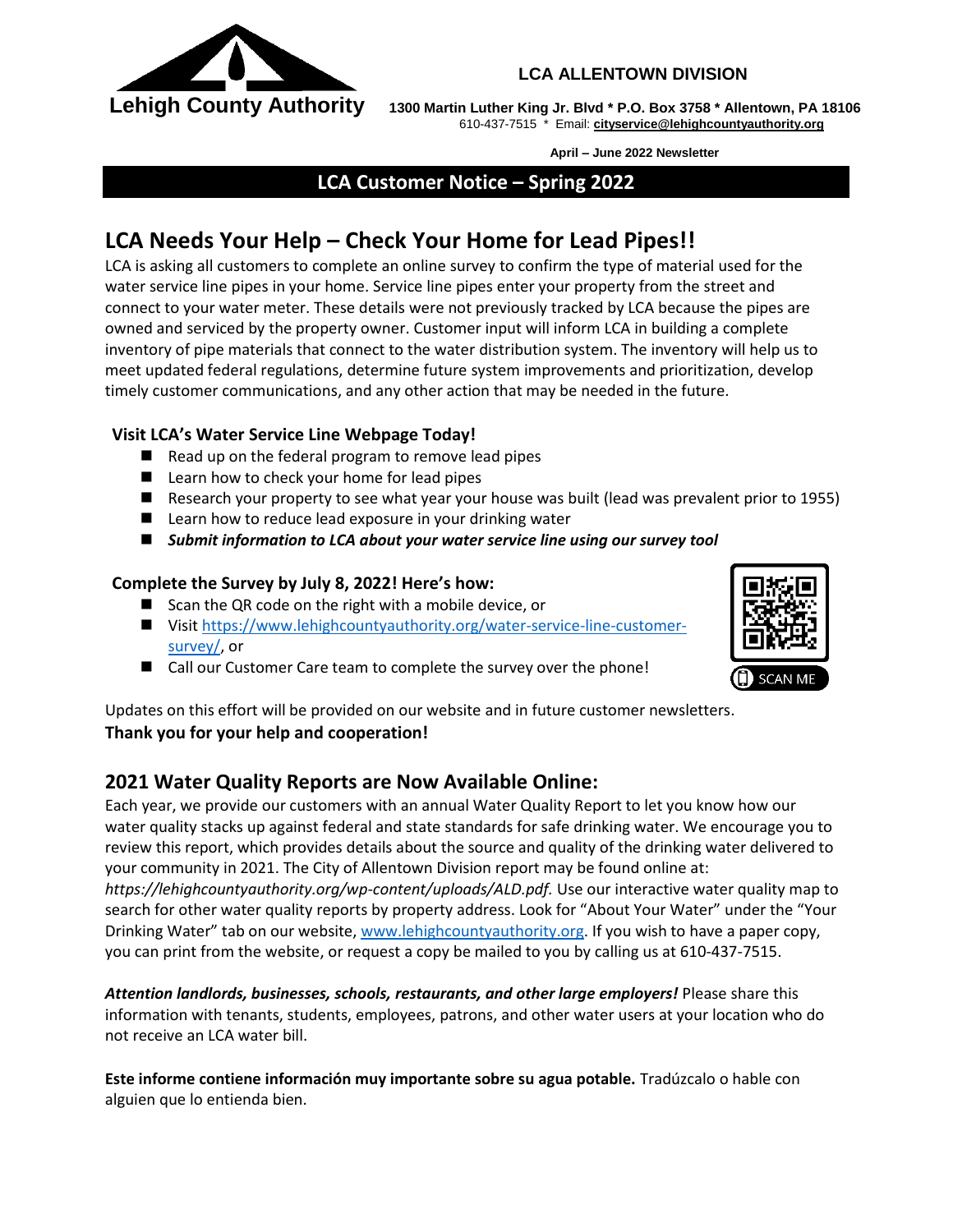

### **LCA ALLENTOWN DIVISION**

 **Lehigh County Authority 1300 Martin Luther King Jr. Blvd \* P.O. Box 3758 \* Allentown, PA 18106** 610-437-7515 \* Email: **[cityservice@lehighcountyauthority.org](mailto:cityservice@lehighcountyauthority.org)**

**April – June 2022 Newsletter**

**LCA Customer Notice – Spring 2022**

# **LCA Needs Your Help – Check Your Home for Lead Pipes!!**

LCA is asking all customers to complete an online survey to confirm the type of material used for the water service line pipes in your home. Service line pipes enter your property from the street and connect to your water meter. These details were not previously tracked by LCA because the pipes are owned and serviced by the property owner. Customer input will inform LCA in building a complete inventory of pipe materials that connect to the water distribution system. The inventory will help us to meet updated federal regulations, determine future system improvements and prioritization, develop timely customer communications, and any other action that may be needed in the future.

## **Visit LCA's Water Service Line Webpage Today!**

- $\blacksquare$  Read up on the federal program to remove lead pipes
- Learn how to check your home for lead pipes
- Research your property to see what year your house was built (lead was prevalent prior to 1955)
- Learn how to reduce lead exposure in your drinking water
- *Submit information to LCA about your water service line using our survey tool*

#### **Complete the Survey by July 8, 2022! Here's how:**

- Scan the QR code on the right with a mobile device, or
- Visit [https://www.lehighcountyauthority.org/water-service-line-customer](https://www.lehighcountyauthority.org/water-service-line-customer-survey/)[survey/,](https://www.lehighcountyauthority.org/water-service-line-customer-survey/) or
- Call our Customer Care team to complete the survey over the phone!



Updates on this effort will be provided on our website and in future customer newsletters. **Thank you for your help and cooperation!**

# **2021 Water Quality Reports are Now Available Online:**

Each year, we provide our customers with an annual Water Quality Report to let you know how our water quality stacks up against federal and state standards for safe drinking water. We encourage you to review this report, which provides details about the source and quality of the drinking water delivered to your community in 2021. The City of Allentown Division report may be found online at: *https://lehighcountyauthority.org/wp-content/uploads/ALD.pdf.* Use our interactive water quality map to search for other water quality reports by property address. Look for "About Your Water" under the "Your Drinking Water" tab on our website, [www.lehighcountyauthority.org.](http://www.lehighcountyauthority.org/) If you wish to have a paper copy, you can print from the website, or request a copy be mailed to you by calling us at 610-437-7515.

*Attention landlords, businesses, schools, restaurants, and other large employers!* Please share this information with tenants, students, employees, patrons, and other water users at your location who do not receive an LCA water bill.

**Este informe contiene información muy importante sobre su agua potable.** Tradúzcalo o hable con alguien que lo entienda bien.